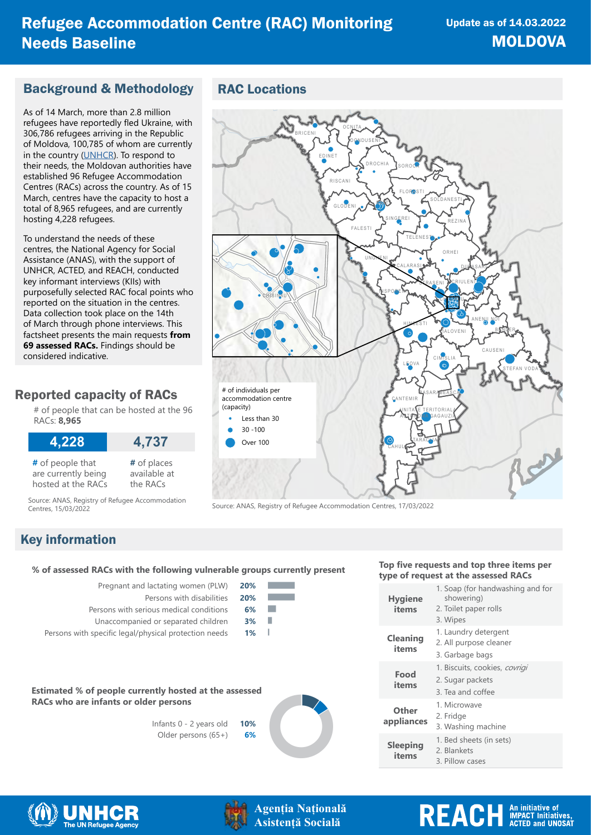#### Background & Methodology

As of 14 March, more than 2.8 million refugees have reportedly fled Ukraine, with 306,786 refugees arriving in the Republic of Moldova, 100,785 of whom are currently in the country ([UNHCR](https://data2.unhcr.org/en/situations/ukraine)). To respond to their needs, the Moldovan authorities have established 96 Refugee Accommodation Centres (RACs) across the country. As of 15 March, centres have the capacity to host a total of 8,965 refugees, and are currently hosting 4,228 refugees.

To understand the needs of these centres, the National Agency for Social Assistance (ANAS), with the support of UNHCR, ACTED, and REACH, conducted key informant interviews (KIIs) with purposefully selected RAC focal points who reported on the situation in the centres. Data collection took place on the 14th of March through phone interviews. This factsheet presents the main requests **from 69 assessed RACs.** Findings should be considered indicative.

### Reported capacity of RACs

# of people that can be hosted at the 96 RACs: **8,965**

| 4,228               | 4,737        |
|---------------------|--------------|
| $#$ of people that  | # of places  |
| are currently being | available at |
| hosted at the RACs  | the RACs     |

Source: ANAS, Registry of Refugee Accommodation





Source: ANAS, Registry of Refugee Accommodation Centres, 17/03/2022

### Key information

## **type of request at the assessed RACs % of assessed RACs with the following vulnerable groups currently present**

| Pregnant and lactating women (PLW)      | 20% |
|-----------------------------------------|-----|
| Persons with disabilities               | 20% |
| Persons with serious medical conditions |     |

- Unaccompanied or separated children **3%**
- Persons with specific legal/physical protection needs **1%**



Infants 0 - 2 years old **10%** Older persons (65+) **6%**



20<br>20<br>20

# **Top five requests and top three items per**

| <b>Hygiene</b><br>items  | 1. Soap (for handwashing and for<br>showering)<br>2. Toilet paper rolls<br>3. Wipes |
|--------------------------|-------------------------------------------------------------------------------------|
| <b>Cleaning</b><br>items | 1. Laundry detergent<br>2. All purpose cleaner<br>3. Garbage bags                   |
| Food<br>items            | 1. Biscuits, cookies, covrigi<br>2. Sugar packets<br>3. Tea and coffee              |
| Other<br>appliances      | 1. Microwave<br>2. Fridge<br>3. Washing machine                                     |
| <b>Sleeping</b><br>items | 1. Bed sheets (in sets)<br>2. Blankets<br>3. Pillow cases                           |
|                          |                                                                                     |





**Agenția Națională Asistență Socială**